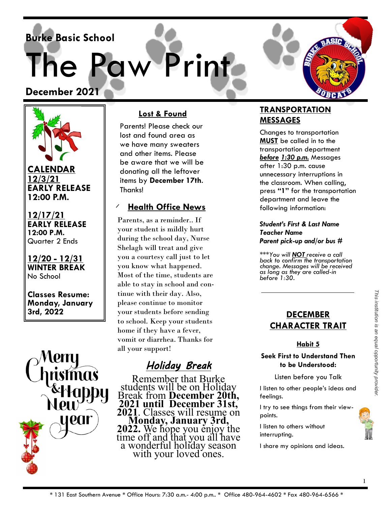**Burke Basic School**

The Paw Print

**December 2021** 



**CALENDAR 12/3/21 EARLY RELEASE 12:00 P.M.**

**12/17/21 EARLY RELEASE 12:00 P.M.** Quarter 2 Ends

**12/20 - 12/31 WINTER BREAK** No School

**Classes Resume: Monday, January 3rd, 2022** 



## **Lost & Found**

Parents! Please check our lost and found area as we have many sweaters and other items. Please be aware that we will be donating all the leftover items by **December 17th**. Thanks!

## **Health Office News**

Parents, as a reminder.. If your student is mildly hurt during the school day, Nurse Shelagh will treat and give you a courtesy call just to let you know what happened. Most of the time, students are able to stay in school and continue with their day. Also, please continue to monitor your students before sending to school. Keep your students home if they have a fever, vomit or diarrhea. Thanks for all your support!

# *Holiday Break*

Remember that Burke students will be on Holiday Break from **December 20th, 2021 until December 31st, 2021**. Classes will resume on **Monday, January 3rd, 2022.** We hope you enjoy the time off and that you all have a wonderful holiday season with your loved ones.

## **TRANSPORTATION MESSAGES**

Changes to transportation **MUST** be called in to the transportation department *before 1:30 p.m.* Messages after 1:30 p.m. cause unnecessary interruptions in the classroom. When calling, press **"1"** for the transportation department and leave the following information:

#### *Student's First & Last Name Teacher Name Parent pick-up and/or bus #*

*\*\*\*You will NOT receive a call back to confirm the transportation change. Messages will be received as long as they are called-in before 1:30.* 

## **DECEMBER CHARACTER TRAIT**

### **Habit 5**

#### **Seek First to Understand Then to be Understood:**

Listen before you Talk

I listen to other people's ideas and feelings.

I try to see things from their viewpoints.

I listen to others without interrupting.

I share my opinions and ideas.